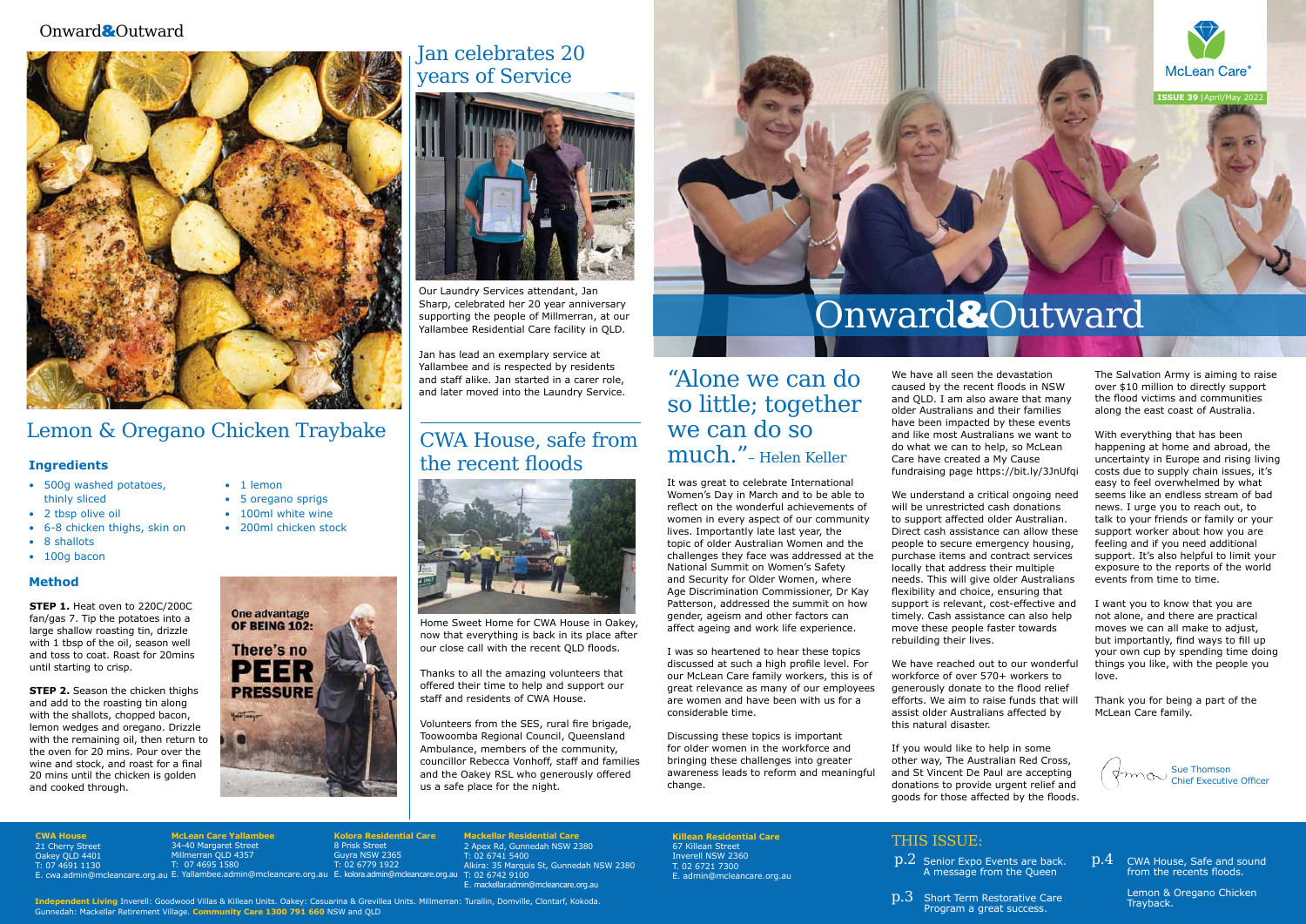#### **CWA House** 21 Cherry Street Oakey QLD 4401 T: 07 4691 1130

**Mackellar Residential Care** 2 Apex Rd, Gunnedah NSW 2380 T: 02 6741 5400 Alkira: 35 Marquis St, Gunnedah NSW 2380 E. mackellar.admin@mcleancare.org.au

E. cwa.admin@mcleancare.org.au E. Yallambee.admin@mcleancare.org.au E. kolora.admin@mcleancare.org.au T: 02 6742 9100 **McLean Care Yallambe** 34-40 Margaret Street Millmerran QLD 4357 T: 07 4695 1580

**Kolora Residential Care** 8 Prisk Street Guyra NSW 2365  $02$  6779 1922

**Killean Residential Care**

67 Killean Street Inverell NSW 2360 T. 02 6721 7300

> $\rm p.3$  Short Term Restorative Care Program a great success.



**ISSUE 39 | April/May 20** 

E. admin@mcleancare.org.au

 $\rm p.2~$  Senior Expo Events are back.  $\rm p.4$ A message from the Queen

THIS ISSUE:



CWA House, Safe and sound from the recents floods.

Lemon & Oregano Chicken Trayback.

### "Alone we can do so little; together we can do so much."– Helen Keller

It was great to celebrate International Women's Day in March and to be able to reflect on the wonderful achievements of women in every aspect of our community lives. Importantly late last year, the topic of older Australian Women and the challenges they face was addressed at the National Summit on Women's Safety and Security for Older Women, where Age Discrimination Commissioner, Dr Kay Patterson, addressed the summit on how gender, ageism and other factors can affect ageing and work life experience.

I was so heartened to hear these topics discussed at such a high profile level. For our McLean Care family workers, this is of great relevance as many of our employees are women and have been with us for a considerable time.

Discussing these topics is important for older women in the workforce and bringing these challenges into greater awareness leads to reform and meaningful change.

We have all seen the devastation caused by the recent floods in NSW and QLD. I am also aware that many older Australians and their families have been impacted by these events and like most Australians we want to do what we can to help, so McLean Care have created a My Cause fundraising page https://bit.ly/3JnUfqi

- 500g washed potatoes, thinly sliced
- 2 tbsp olive oil
- 6-8 chicken thighs, skin on
- 8 shallots
- 100g bacon

We understand a critical ongoing need will be unrestricted cash donations to support affected older Australian. Direct cash assistance can allow these people to secure emergency housing, purchase items and contract services locally that address their multiple needs. This will give older Australians flexibility and choice, ensuring that support is relevant, cost-effective and timely. Cash assistance can also help move these people faster towards rebuilding their lives.

**STEP 2.** Season the chicken thighs and add to the roasting tin along with the shallots, chopped bacon, lemon wedges and oregano. Drizzle with the remaining oil, then return to the oven for 20 mins. Pour over the wine and stock, and roast for a final 20 mins until the chicken is golden and cooked through.

We have reached out to our wonderful workforce of over 570+ workers to generously donate to the flood relief efforts. We aim to raise funds that will assist older Australians affected by this natural disaster.

If you would like to help in some other way, The Australian Red Cross, and St Vincent De Paul are accepting donations to provide urgent relief and goods for those affected by the floods. The Salvation Army is aiming to raise over \$10 million to directly support the flood victims and communities along the east coast of Australia.

With everything that has been happening at home and abroad, the uncertainty in Europe and rising living costs due to supply chain issues, it's easy to feel overwhelmed by what seems like an endless stream of bad news. I urge you to reach out, to talk to your friends or family or your support worker about how you are feeling and if you need additional support. It's also helpful to limit your exposure to the reports of the world events from time to time.

I want you to know that you are not alone, and there are practical moves we can all make to adjust, but importantly, find ways to fill up your own cup by spending time doing things you like, with the people you love.

Thank you for being a part of the McLean Care family.

**Independent Living** Inverell: Goodwood Villas & Killean Units. Oakey: Casuarina & Grevillea Units. Millmerran: Turallin, Domville, Clontarf, Kokoda. Gunnedah: Mackellar Retirement Village. **Community Care 1300 791 660** NSW and QLD

### Lemon & Oregano Chicken Traybake

#### • 1 lemon

- 5 oregano sprigs
- 100ml white wine
- 200ml chicken stock



**STEP 1.** Heat oven to 220C/200C fan/gas 7. Tip the potatoes into a large shallow roasting tin, drizzle with 1 tbsp of the oil, season well and toss to coat. Roast for 20mins until starting to crisp.

#### **Ingredients**

#### **Method**

# Onward&Outward

### Jan celebrates 20 years of Service



### CWA House, safe from the recent floods



Home Sweet Home for CWA House in Oakey, now that everything is back in its place after our close call with the recent QLD floods.

Thanks to all the amazing volunteers that offered their time to help and support our staff and residents of CWA House.

Volunteers from the SES, rural fire brigade, Toowoomba Regional Council, Queensland Ambulance, members of the community, councillor Rebecca Vonhoff, staff and families and the Oakey RSL who generously offered us a safe place for the night.



Sue Thomson Chief Executive Officer

Our Laundry Services attendant, Jan Sharp, celebrated her 20 year anniversary supporting the people of Millmerran, at our Yallambee Residential Care facility in QLD.

Jan has lead an exemplary service at Yallambee and is respected by residents and staff alike. Jan started in a carer role, and later moved into the Laundry Service.